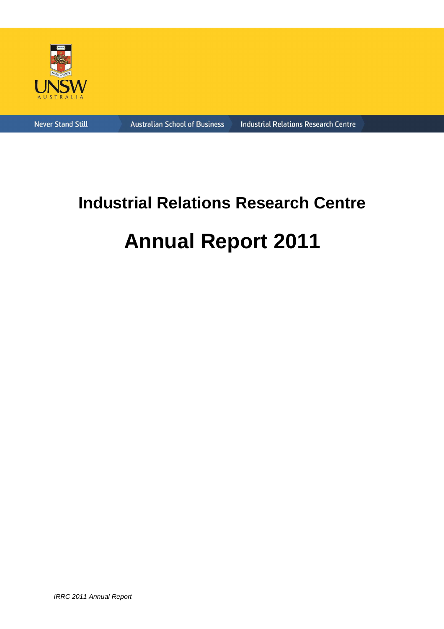

**Never Stand Still** 

**Australian School of Business** 

**Industrial Relations Research Centre** 

# **Industrial Relations Research Centre Annual Report 2011**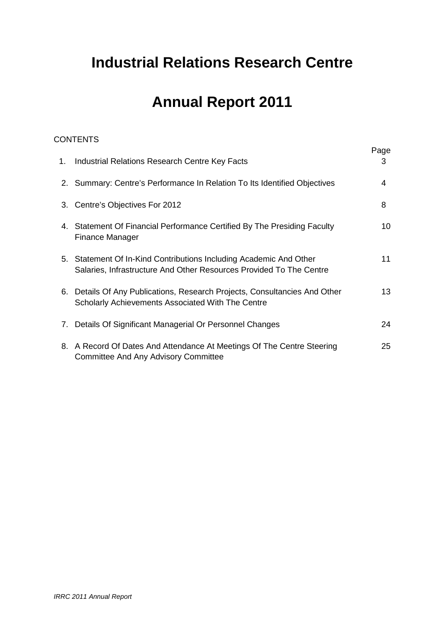# **Industrial Relations Research Centre**

# **Annual Report 2011**

# **CONTENTS**

| 1. Industrial Relations Research Centre Key Facts                                                                                         | Page<br>3 |
|-------------------------------------------------------------------------------------------------------------------------------------------|-----------|
| 2. Summary: Centre's Performance In Relation To Its Identified Objectives                                                                 | 4         |
| 3. Centre's Objectives For 2012                                                                                                           | 8         |
| 4. Statement Of Financial Performance Certified By The Presiding Faculty<br><b>Finance Manager</b>                                        | 10        |
| 5. Statement Of In-Kind Contributions Including Academic And Other<br>Salaries, Infrastructure And Other Resources Provided To The Centre | 11        |
| 6. Details Of Any Publications, Research Projects, Consultancies And Other<br><b>Scholarly Achievements Associated With The Centre</b>    | 13        |
| 7. Details Of Significant Managerial Or Personnel Changes                                                                                 | 24        |
| 8. A Record Of Dates And Attendance At Meetings Of The Centre Steering<br><b>Committee And Any Advisory Committee</b>                     | 25        |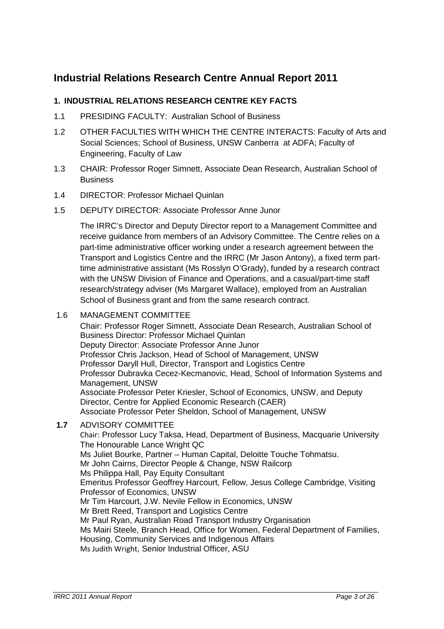# **Industrial Relations Research Centre Annual Report 2011**

# **1. INDUSTRIAL RELATIONS RESEARCH CENTRE KEY FACTS**

- 1.1 PRESIDING FACULTY: Australian School of Business
- 1.2 OTHER FACULTIES WITH WHICH THE CENTRE INTERACTS: Faculty of Arts and Social Sciences; School of Business, UNSW Canberra at ADFA; Faculty of Engineering, Faculty of Law
- 1.3 CHAIR: Professor Roger Simnett, Associate Dean Research, Australian School of **Business**
- 1.4 DIRECTOR: Professor Michael Quinlan
- 1.5 DEPUTY DIRECTOR: Associate Professor Anne Junor

The IRRC's Director and Deputy Director report to a Management Committee and receive guidance from members of an Advisory Committee. The Centre relies on a part-time administrative officer working under a research agreement between the Transport and Logistics Centre and the IRRC (Mr Jason Antony), a fixed term parttime administrative assistant (Ms Rosslyn O'Grady), funded by a research contract with the UNSW Division of Finance and Operations, and a casual/part-time staff research/strategy adviser (Ms Margaret Wallace), employed from an Australian School of Business grant and from the same research contract.

1.6 MANAGEMENT COMMITTEE

Chair: Professor Roger Simnett, Associate Dean Research, Australian School of Business Director: Professor Michael Quinlan Deputy Director: Associate Professor Anne Junor Professor Chris Jackson, Head of School of Management, UNSW Professor Daryll Hull, Director, Transport and Logistics Centre Professor Dubravka Cecez-Kecmanovic, Head, School of Information Systems and Management, UNSW Associate Professor Peter Kriesler, School of Economics, UNSW, and Deputy Director, Centre for Applied Economic Research (CAER) Associate Professor Peter Sheldon, School of Management, UNSW

**1.7** ADVISORY COMMITTEE

Chair: Professor Lucy Taksa, Head, Department of Business, Macquarie University The Honourable Lance Wright QC Ms Juliet Bourke, Partner – Human Capital, Deloitte Touche Tohmatsu. Mr John Cairns, Director People & Change, NSW Railcorp Ms Philippa Hall, Pay Equity Consultant Emeritus Professor Geoffrey Harcourt, Fellow, Jesus College Cambridge, Visiting Professor of Economics, UNSW Mr Tim Harcourt, J.W. Nevile Fellow in Economics, UNSW Mr Brett Reed, Transport and Logistics Centre Mr Paul Ryan, Australian Road Transport Industry Organisation Ms Mairi Steele, Branch Head, Office for Women, Federal Department of Families, Housing, Community Services and Indigenous Affairs Ms Judith Wright, Senior Industrial Officer, ASU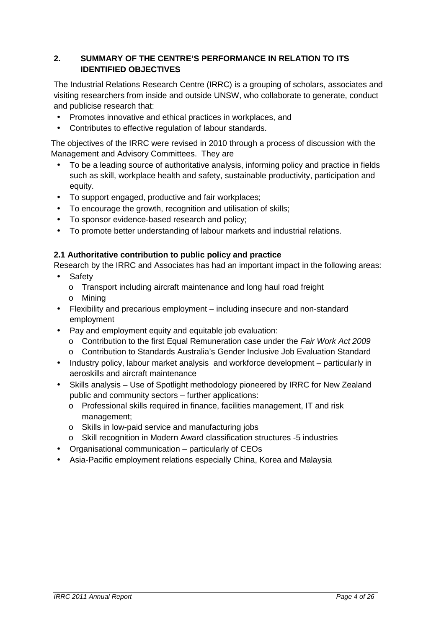# **2. SUMMARY OF THE CENTRE'S PERFORMANCE IN RELATION TO ITS IDENTIFIED OBJECTIVES**

The Industrial Relations Research Centre (IRRC) is a grouping of scholars, associates and visiting researchers from inside and outside UNSW, who collaborate to generate, conduct and publicise research that:

- Promotes innovative and ethical practices in workplaces, and
- Contributes to effective regulation of labour standards.

The objectives of the IRRC were revised in 2010 through a process of discussion with the Management and Advisory Committees. They are

- To be a leading source of authoritative analysis, informing policy and practice in fields such as skill, workplace health and safety, sustainable productivity, participation and equity.
- To support engaged, productive and fair workplaces;
- To encourage the growth, recognition and utilisation of skills;
- To sponsor evidence-based research and policy;
- To promote better understanding of labour markets and industrial relations.

# **2.1 Authoritative contribution to public policy and practice**

Research by the IRRC and Associates has had an important impact in the following areas:

- Safety
	- o Transport including aircraft maintenance and long haul road freight
	- o Mining
- Flexibility and precarious employment including insecure and non-standard employment
- Pay and employment equity and equitable job evaluation:
	- o Contribution to the first Equal Remuneration case under the Fair Work Act 2009
	- o Contribution to Standards Australia's Gender Inclusive Job Evaluation Standard
- Industry policy, labour market analysis and workforce development particularly in aeroskills and aircraft maintenance
- Skills analysis Use of Spotlight methodology pioneered by IRRC for New Zealand public and community sectors – further applications:
	- o Professional skills required in finance, facilities management, IT and risk management;
	- o Skills in low-paid service and manufacturing jobs
	- o Skill recognition in Modern Award classification structures -5 industries
- Organisational communication particularly of CEOs
- Asia-Pacific employment relations especially China, Korea and Malaysia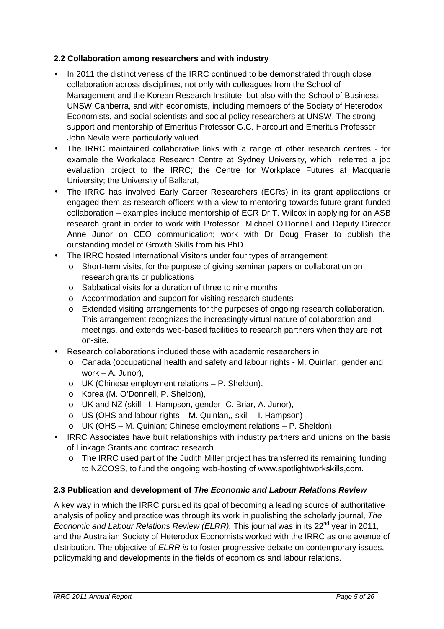#### **2.2 Collaboration among researchers and with industry**

- In 2011 the distinctiveness of the IRRC continued to be demonstrated through close collaboration across disciplines, not only with colleagues from the School of Management and the Korean Research Institute, but also with the School of Business, UNSW Canberra, and with economists, including members of the Society of Heterodox Economists, and social scientists and social policy researchers at UNSW. The strong support and mentorship of Emeritus Professor G.C. Harcourt and Emeritus Professor John Nevile were particularly valued.
- The IRRC maintained collaborative links with a range of other research centres for example the Workplace Research Centre at Sydney University, which referred a job evaluation project to the IRRC; the Centre for Workplace Futures at Macquarie University; the University of Ballarat,
- The IRRC has involved Early Career Researchers (ECRs) in its grant applications or engaged them as research officers with a view to mentoring towards future grant-funded collaboration – examples include mentorship of ECR Dr T. Wilcox in applying for an ASB research grant in order to work with Professor Michael O'Donnell and Deputy Director Anne Junor on CEO communication; work with Dr Doug Fraser to publish the outstanding model of Growth Skills from his PhD
- The IRRC hosted International Visitors under four types of arrangement:
	- o Short-term visits, for the purpose of giving seminar papers or collaboration on research grants or publications
	- o Sabbatical visits for a duration of three to nine months
	- o Accommodation and support for visiting research students
	- o Extended visiting arrangements for the purposes of ongoing research collaboration. This arrangement recognizes the increasingly virtual nature of collaboration and meetings, and extends web-based facilities to research partners when they are not on-site.
- Research collaborations included those with academic researchers in:
	- o Canada (occupational health and safety and labour rights M. Quinlan; gender and work – A. Junor),
	- o UK (Chinese employment relations P. Sheldon),
	- o Korea (M. O'Donnell, P. Sheldon),
	- o UK and NZ (skill I. Hampson, gender -C. Briar, A. Junor),
	- $\circ$  US (OHS and labour rights M. Quinlan,, skill I. Hampson)
	- o UK (OHS M. Quinlan; Chinese employment relations P. Sheldon).
- IRRC Associates have built relationships with industry partners and unions on the basis of Linkage Grants and contract research
	- $\circ$  The IRRC used part of the Judith Miller project has transferred its remaining funding to NZCOSS, to fund the ongoing web-hosting of www.spotlightworkskills,com.

#### **2.3 Publication and development of The Economic and Labour Relations Review**

A key way in which the IRRC pursued its goal of becoming a leading source of authoritative analysis of policy and practice was through its work in publishing the scholarly journal, The Economic and Labour Relations Review (ELRR). This journal was in its  $22^{nd}$  year in 2011, and the Australian Society of Heterodox Economists worked with the IRRC as one avenue of distribution. The objective of *ELRR is* to foster progressive debate on contemporary issues, policymaking and developments in the fields of economics and labour relations.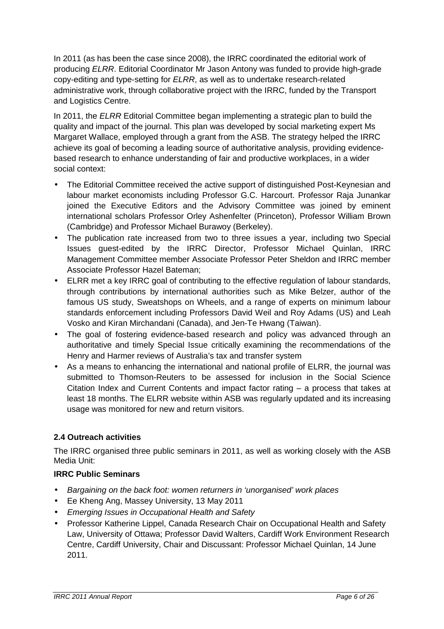In 2011 (as has been the case since 2008), the IRRC coordinated the editorial work of producing ELRR. Editorial Coordinator Mr Jason Antony was funded to provide high-grade copy-editing and type-setting for ELRR, as well as to undertake research-related administrative work, through collaborative project with the IRRC, funded by the Transport and Logistics Centre.

In 2011, the ELRR Editorial Committee began implementing a strategic plan to build the quality and impact of the journal. This plan was developed by social marketing expert Ms Margaret Wallace, employed through a grant from the ASB. The strategy helped the IRRC achieve its goal of becoming a leading source of authoritative analysis, providing evidencebased research to enhance understanding of fair and productive workplaces, in a wider social context:

- The Editorial Committee received the active support of distinguished Post-Keynesian and labour market economists including Professor G.C. Harcourt. Professor Raja Junankar joined the Executive Editors and the Advisory Committee was joined by eminent international scholars Professor Orley Ashenfelter (Princeton), Professor William Brown (Cambridge) and Professor Michael Burawoy (Berkeley).
- The publication rate increased from two to three issues a year, including two Special Issues guest-edited by the IRRC Director, Professor Michael Quinlan, IRRC Management Committee member Associate Professor Peter Sheldon and IRRC member Associate Professor Hazel Bateman;
- ELRR met a key IRRC goal of contributing to the effective regulation of labour standards, through contributions by international authorities such as Mike Belzer, author of the famous US study, Sweatshops on Wheels, and a range of experts on minimum labour standards enforcement including Professors David Weil and Roy Adams (US) and Leah Vosko and Kiran Mirchandani (Canada), and Jen-Te Hwang (Taiwan).
- The goal of fostering evidence-based research and policy was advanced through an authoritative and timely Special Issue critically examining the recommendations of the Henry and Harmer reviews of Australia's tax and transfer system
- As a means to enhancing the international and national profile of ELRR, the journal was submitted to Thomson-Reuters to be assessed for inclusion in the Social Science Citation Index and Current Contents and impact factor rating – a process that takes at least 18 months. The ELRR website within ASB was regularly updated and its increasing usage was monitored for new and return visitors.

# **2.4 Outreach activities**

The IRRC organised three public seminars in 2011, as well as working closely with the ASB Media Unit:

#### **IRRC Public Seminars**

- Bargaining on the back foot: women returners in 'unorganised' work places
- Ee Kheng Ang, Massey University, 13 May 2011
- Emerging Issues in Occupational Health and Safety
- Professor Katherine Lippel, Canada Research Chair on Occupational Health and Safety Law, University of Ottawa; Professor David Walters, Cardiff Work Environment Research Centre, Cardiff University, Chair and Discussant: Professor Michael Quinlan, 14 June 2011.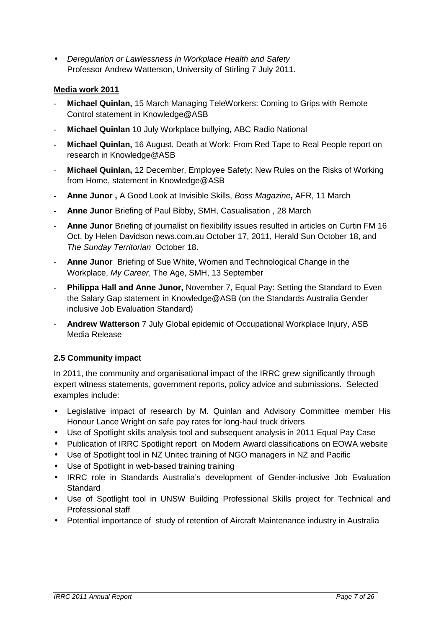• Deregulation or Lawlessness in Workplace Health and Safety Professor Andrew Watterson, University of Stirling 7 July 2011.

#### **Media work 2011**

- **Michael Quinlan,** 15 March Managing TeleWorkers: Coming to Grips with Remote Control statement in Knowledge@ASB
- **Michael Quinlan** 10 July Workplace bullying, ABC Radio National
- **Michael Quinlan, 16 August. Death at Work: From Red Tape to Real People report on** research in Knowledge@ASB
- **Michael Quinlan,** 12 December, Employee Safety: New Rules on the Risks of Working from Home, statement in Knowledge@ASB
- **Anne Junor ,** A Good Look at Invisible Skills, Boss Magazine**,** AFR, 11 March
- **Anne Junor** Briefing of Paul Bibby, SMH, Casualisation , 28 March
- **Anne Junor** Briefing of journalist on flexibility issues resulted in articles on Curtin FM 16 Oct, by Helen Davidson news.com.au October 17, 2011, Herald Sun October 18, and The Sunday Territorian October 18.
- **Anne Junor** Briefing of Sue White, Women and Technological Change in the Workplace, My Career, The Age, SMH, 13 September
- **Philippa Hall and Anne Junor,** November 7, Equal Pay: Setting the Standard to Even the Salary Gap statement in Knowledge@ASB (on the Standards Australia Gender inclusive Job Evaluation Standard)
- **Andrew Watterson** 7 July Global epidemic of Occupational Workplace Injury, ASB Media Release

# **2.5 Community impact**

In 2011, the community and organisational impact of the IRRC grew significantly through expert witness statements, government reports, policy advice and submissions. Selected examples include:

- Legislative impact of research by M. Quinlan and Advisory Committee member His Honour Lance Wright on safe pay rates for long-haul truck drivers
- Use of Spotlight skills analysis tool and subsequent analysis in 2011 Equal Pay Case
- Publication of IRRC Spotlight report on Modern Award classifications on EOWA website
- Use of Spotlight tool in NZ Unitec training of NGO managers in NZ and Pacific
- Use of Spotlight in web-based training training
- IRRC role in Standards Australia's development of Gender-inclusive Job Evaluation Standard
- Use of Spotlight tool in UNSW Building Professional Skills project for Technical and Professional staff
- Potential importance of study of retention of Aircraft Maintenance industry in Australia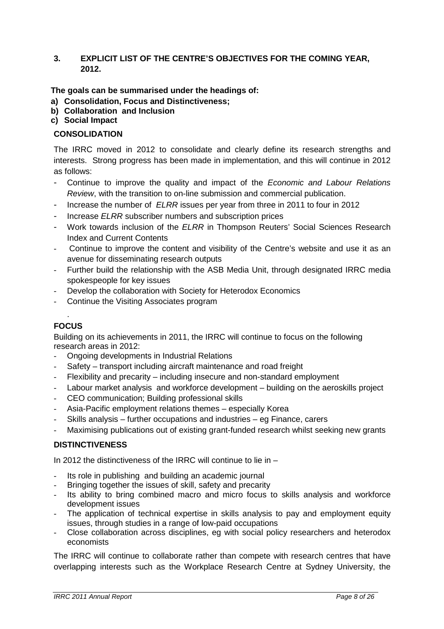#### **3. EXPLICIT LIST OF THE CENTRE'S OBJECTIVES FOR THE COMING YEAR, 2012.**

#### **The goals can be summarised under the headings of:**

- **a) Consolidation, Focus and Distinctiveness;**
- **b) Collaboration and Inclusion**
- **c) Social Impact**

#### **CONSOLIDATION**

The IRRC moved in 2012 to consolidate and clearly define its research strengths and interests. Strong progress has been made in implementation, and this will continue in 2012 as follows:

- Continue to improve the quality and impact of the Economic and Labour Relations Review, with the transition to on-line submission and commercial publication.
- Increase the number of *ELRR* issues per year from three in 2011 to four in 2012
- Increase ELRR subscriber numbers and subscription prices
- Work towards inclusion of the *ELRR* in Thompson Reuters' Social Sciences Research Index and Current Contents
- Continue to improve the content and visibility of the Centre's website and use it as an avenue for disseminating research outputs
- Further build the relationship with the ASB Media Unit, through designated IRRC media spokespeople for key issues
- Develop the collaboration with Society for Heterodox Economics
- Continue the Visiting Associates program

#### . **FOCUS**

Building on its achievements in 2011, the IRRC will continue to focus on the following research areas in 2012:

- Ongoing developments in Industrial Relations
- Safety transport including aircraft maintenance and road freight
- Flexibility and precarity including insecure and non-standard employment
- Labour market analysis and workforce development building on the aeroskills project
- CEO communication; Building professional skills
- Asia-Pacific employment relations themes especially Korea
- Skills analysis further occupations and industries eg Finance, carers
- Maximising publications out of existing grant-funded research whilst seeking new grants

#### **DISTINCTIVENESS**

In 2012 the distinctiveness of the IRRC will continue to lie in –

- Its role in publishing and building an academic journal
- Bringing together the issues of skill, safety and precarity
- Its ability to bring combined macro and micro focus to skills analysis and workforce development issues
- The application of technical expertise in skills analysis to pay and employment equity issues, through studies in a range of low-paid occupations
- Close collaboration across disciplines, eg with social policy researchers and heterodox economists

The IRRC will continue to collaborate rather than compete with research centres that have overlapping interests such as the Workplace Research Centre at Sydney University, the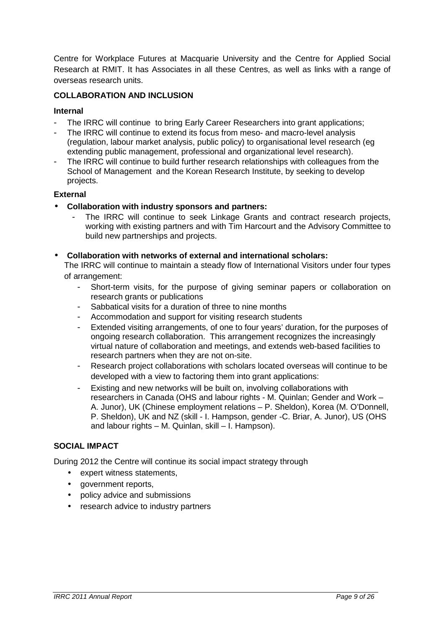Centre for Workplace Futures at Macquarie University and the Centre for Applied Social Research at RMIT. It has Associates in all these Centres, as well as links with a range of overseas research units.

#### **COLLABORATION AND INCLUSION**

#### **Internal**

- The IRRC will continue to bring Early Career Researchers into grant applications;
- The IRRC will continue to extend its focus from meso- and macro-level analysis (regulation, labour market analysis, public policy) to organisational level research (eg extending public management, professional and organizational level research).
- The IRRC will continue to build further research relationships with colleagues from the School of Management and the Korean Research Institute, by seeking to develop projects.

#### **External**

- **Collaboration with industry sponsors and partners:**
	- The IRRC will continue to seek Linkage Grants and contract research projects, working with existing partners and with Tim Harcourt and the Advisory Committee to build new partnerships and projects.
- **Collaboration with networks of external and international scholars:**

The IRRC will continue to maintain a steady flow of International Visitors under four types of arrangement:

- Short-term visits, for the purpose of giving seminar papers or collaboration on research grants or publications
- Sabbatical visits for a duration of three to nine months
- Accommodation and support for visiting research students
- Extended visiting arrangements, of one to four years' duration, for the purposes of ongoing research collaboration. This arrangement recognizes the increasingly virtual nature of collaboration and meetings, and extends web-based facilities to research partners when they are not on-site.
- Research project collaborations with scholars located overseas will continue to be developed with a view to factoring them into grant applications:
- Existing and new networks will be built on, involving collaborations with researchers in Canada (OHS and labour rights - M. Quinlan; Gender and Work – A. Junor), UK (Chinese employment relations – P. Sheldon), Korea (M. O'Donnell, P. Sheldon), UK and NZ (skill - I. Hampson, gender -C. Briar, A. Junor), US (OHS and labour rights – M. Quinlan, skill – I. Hampson).

#### **SOCIAL IMPACT**

During 2012 the Centre will continue its social impact strategy through

- expert witness statements,
- government reports,
- policy advice and submissions
- research advice to industry partners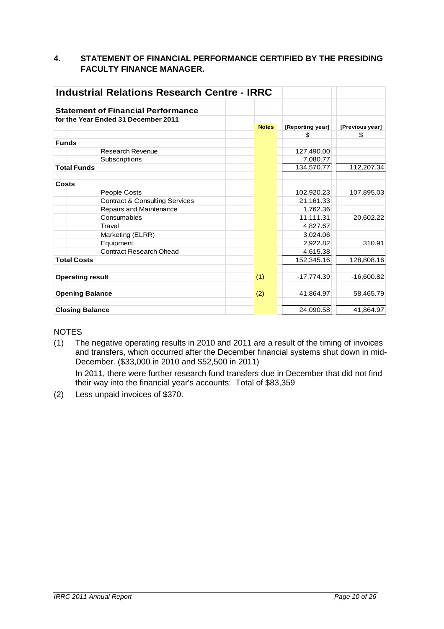#### **4. STATEMENT OF FINANCIAL PERFORMANCE CERTIFIED BY THE PRESIDING FACULTY FINANCE MANAGER.**

| <b>Industrial Relations Research Centre - IRRC</b> |                                           |              |                  |                 |
|----------------------------------------------------|-------------------------------------------|--------------|------------------|-----------------|
|                                                    |                                           |              |                  |                 |
|                                                    | <b>Statement of Financial Performance</b> |              |                  |                 |
|                                                    | for the Year Ended 31 December 2011       |              |                  |                 |
|                                                    |                                           | <b>Notes</b> | [Reporting year] | [Previous year] |
|                                                    |                                           |              | \$               | \$              |
| <b>Funds</b>                                       |                                           |              |                  |                 |
|                                                    | <b>Research Revenue</b>                   |              | 127,490.00       |                 |
|                                                    | Subscriptions                             |              | 7,080.77         |                 |
| <b>Total Funds</b>                                 |                                           |              | 134,570.77       | 112,207.34      |
| Costs                                              |                                           |              |                  |                 |
|                                                    | People Costs                              |              | 102,920.23       | 107,895.03      |
|                                                    | <b>Contract &amp; Consulting Services</b> |              | 21,161.33        |                 |
|                                                    | Repairs and Maintenance                   |              | 1,762.36         |                 |
|                                                    | Consumables                               |              | 11,111.31        | 20,602.22       |
|                                                    | Travel                                    |              | 4,827.67         |                 |
|                                                    | Marketing (ELRR)                          |              | 3,024.06         |                 |
|                                                    | Equipment                                 |              | 2,922.82         | 310.91          |
|                                                    | <b>Contract Research Ohead</b>            |              | 4,615.38         |                 |
| <b>Total Costs</b>                                 |                                           |              | 152,345.16       | 128,808.16      |
| <b>Operating result</b>                            |                                           | (1)          | $-17,774.39$     | $-16,600.82$    |
| <b>Opening Balance</b>                             |                                           | (2)          | 41,864.97        | 58,465.79       |
| <b>Closing Balance</b>                             |                                           |              | 24,090.58        | 41,864.97       |

# **NOTES**

(1) The negative operating results in 2010 and 2011 are a result of the timing of invoices and transfers, which occurred after the December financial systems shut down in mid-December. (\$33,000 in 2010 and \$52,500 in 2011)

 In 2011, there were further research fund transfers due in December that did not find their way into the financial year's accounts: Total of \$83,359

(2) Less unpaid invoices of \$370.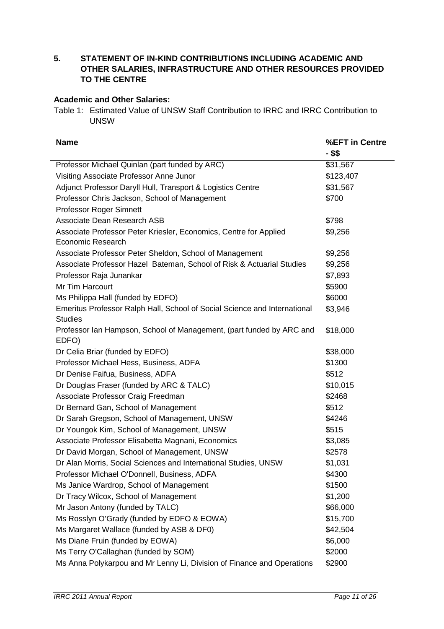**5. STATEMENT OF IN-KIND CONTRIBUTIONS INCLUDING ACADEMIC AND OTHER SALARIES, INFRASTRUCTURE AND OTHER RESOURCES PROVIDED TO THE CENTRE** 

#### **Academic and Other Salaries:**

Table 1: Estimated Value of UNSW Staff Contribution to IRRC and IRRC Contribution to UNSW

| <b>Name</b>                                                                                 | %EFT in Centre<br>- \$\$ |
|---------------------------------------------------------------------------------------------|--------------------------|
| Professor Michael Quinlan (part funded by ARC)                                              | \$31,567                 |
| Visiting Associate Professor Anne Junor                                                     | \$123,407                |
| Adjunct Professor Daryll Hull, Transport & Logistics Centre                                 | \$31,567                 |
| Professor Chris Jackson, School of Management                                               | \$700                    |
| Professor Roger Simnett                                                                     |                          |
| Associate Dean Research ASB                                                                 | \$798                    |
| Associate Professor Peter Kriesler, Economics, Centre for Applied<br>Economic Research      | \$9,256                  |
| Associate Professor Peter Sheldon, School of Management                                     | \$9,256                  |
| Associate Professor Hazel Bateman, School of Risk & Actuarial Studies                       | \$9,256                  |
| Professor Raja Junankar                                                                     | \$7,893                  |
| Mr Tim Harcourt                                                                             | \$5900                   |
| Ms Philippa Hall (funded by EDFO)                                                           | \$6000                   |
| Emeritus Professor Ralph Hall, School of Social Science and International<br><b>Studies</b> | \$3,946                  |
| Professor Ian Hampson, School of Management, (part funded by ARC and<br>EDFO)               | \$18,000                 |
| Dr Celia Briar (funded by EDFO)                                                             | \$38,000                 |
| Professor Michael Hess, Business, ADFA                                                      | \$1300                   |
| Dr Denise Faifua, Business, ADFA                                                            | \$512                    |
| Dr Douglas Fraser (funded by ARC & TALC)                                                    | \$10,015                 |
| Associate Professor Craig Freedman                                                          | \$2468                   |
| Dr Bernard Gan, School of Management                                                        | \$512                    |
| Dr Sarah Gregson, School of Management, UNSW                                                | \$4246                   |
| Dr Youngok Kim, School of Management, UNSW                                                  | \$515                    |
| Associate Professor Elisabetta Magnani, Economics                                           | \$3,085                  |
| Dr David Morgan, School of Management, UNSW                                                 | \$2578                   |
| Dr Alan Morris, Social Sciences and International Studies, UNSW                             | \$1,031                  |
| Professor Michael O'Donnell, Business, ADFA                                                 | \$4300                   |
| Ms Janice Wardrop, School of Management                                                     | \$1500                   |
| Dr Tracy Wilcox, School of Management                                                       | \$1,200                  |
| Mr Jason Antony (funded by TALC)                                                            | \$66,000                 |
| Ms Rosslyn O'Grady (funded by EDFO & EOWA)                                                  | \$15,700                 |
| Ms Margaret Wallace (funded by ASB & DF0)                                                   | \$42,504                 |
| Ms Diane Fruin (funded by EOWA)                                                             | \$6,000                  |
| Ms Terry O'Callaghan (funded by SOM)                                                        | \$2000                   |
| Ms Anna Polykarpou and Mr Lenny Li, Division of Finance and Operations                      | \$2900                   |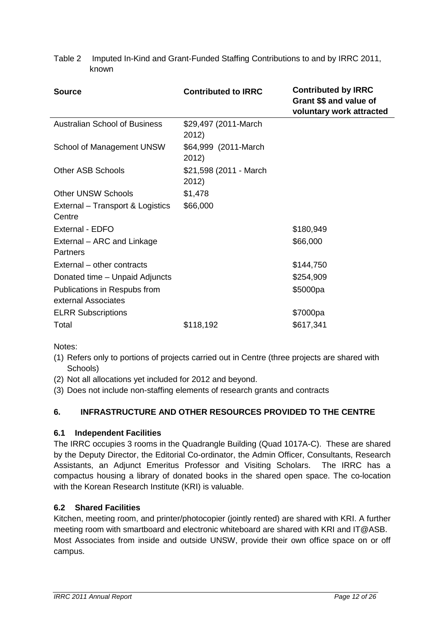Table 2 Imputed In-Kind and Grant-Funded Staffing Contributions to and by IRRC 2011, known

| <b>Source</b>                                       | <b>Contributed to IRRC</b>      | <b>Contributed by IRRC</b><br>Grant \$\$ and value of<br>voluntary work attracted |  |
|-----------------------------------------------------|---------------------------------|-----------------------------------------------------------------------------------|--|
| <b>Australian School of Business</b>                | \$29,497 (2011-March<br>2012)   |                                                                                   |  |
| School of Management UNSW                           | \$64,999 (2011-March<br>2012)   |                                                                                   |  |
| <b>Other ASB Schools</b>                            | \$21,598 (2011 - March<br>2012) |                                                                                   |  |
| <b>Other UNSW Schools</b>                           | \$1,478                         |                                                                                   |  |
| External - Transport & Logistics<br>Centre          | \$66,000                        |                                                                                   |  |
| External - EDFO                                     |                                 | \$180,949                                                                         |  |
| External – ARC and Linkage<br>Partners              |                                 | \$66,000                                                                          |  |
| External – other contracts                          |                                 | \$144,750                                                                         |  |
| Donated time – Unpaid Adjuncts                      |                                 | \$254,909                                                                         |  |
| Publications in Respubs from<br>external Associates |                                 | \$5000pa                                                                          |  |
| <b>ELRR Subscriptions</b>                           |                                 | \$7000pa                                                                          |  |
| Total                                               | \$118,192                       | \$617,341                                                                         |  |

Notes:

- (1) Refers only to portions of projects carried out in Centre (three projects are shared with Schools)
- (2) Not all allocations yet included for 2012 and beyond.
- (3) Does not include non-staffing elements of research grants and contracts

# **6. INFRASTRUCTURE AND OTHER RESOURCES PROVIDED TO THE CENTRE**

#### **6.1 Independent Facilities**

The IRRC occupies 3 rooms in the Quadrangle Building (Quad 1017A-C). These are shared by the Deputy Director, the Editorial Co-ordinator, the Admin Officer, Consultants, Research Assistants, an Adjunct Emeritus Professor and Visiting Scholars. The IRRC has a compactus housing a library of donated books in the shared open space. The co-location with the Korean Research Institute (KRI) is valuable.

#### **6.2 Shared Facilities**

Kitchen, meeting room, and printer/photocopier (jointly rented) are shared with KRI. A further meeting room with smartboard and electronic whiteboard are shared with KRI and IT@ASB. Most Associates from inside and outside UNSW, provide their own office space on or off campus.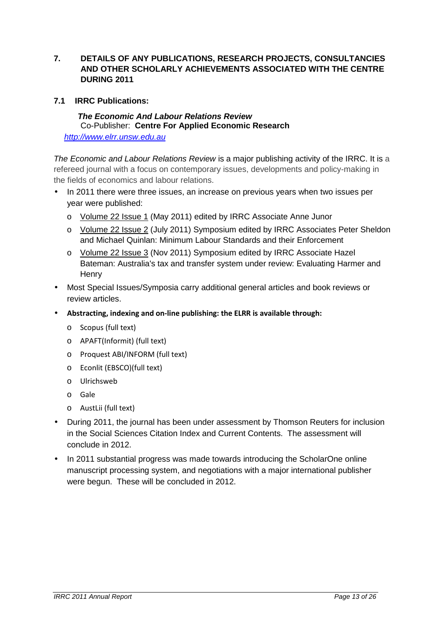- **7. DETAILS OF ANY PUBLICATIONS, RESEARCH PROJECTS, CONSULTANCIES AND OTHER SCHOLARLY ACHIEVEMENTS ASSOCIATED WITH THE CENTRE DURING 2011**
- **7.1 IRRC Publications:**

#### **The Economic And Labour Relations Review**  Co-Publisher: **Centre For Applied Economic Research**  http://www.elrr.unsw.edu.au

The Economic and Labour Relations Review is a major publishing activity of the IRRC. It is a refereed journal with a focus on contemporary issues, developments and policy-making in the fields of economics and labour relations.

- In 2011 there were three issues, an increase on previous years when two issues per year were published:
	- o Volume 22 Issue 1 (May 2011) edited by IRRC Associate Anne Junor
	- o Volume 22 Issue 2 (July 2011) Symposium edited by IRRC Associates Peter Sheldon and Michael Quinlan: Minimum Labour Standards and their Enforcement
	- o Volume 22 Issue 3 (Nov 2011) Symposium edited by IRRC Associate Hazel Bateman: Australia's tax and transfer system under review: Evaluating Harmer and **Henry**
- Most Special Issues/Symposia carry additional general articles and book reviews or review articles.
- **Abstracting, indexing and on-line publishing: the ELRR is available through:** 
	- o Scopus (full text)
	- o APAFT(Informit) (full text)
	- o Proquest ABI/INFORM (full text)
	- o Econlit (EBSCO)(full text)
	- o Ulrichsweb
	- o Gale
	- o AustLii (full text)
- During 2011, the journal has been under assessment by Thomson Reuters for inclusion in the Social Sciences Citation Index and Current Contents. The assessment will conclude in 2012.
- In 2011 substantial progress was made towards introducing the ScholarOne online manuscript processing system, and negotiations with a major international publisher were begun. These will be concluded in 2012.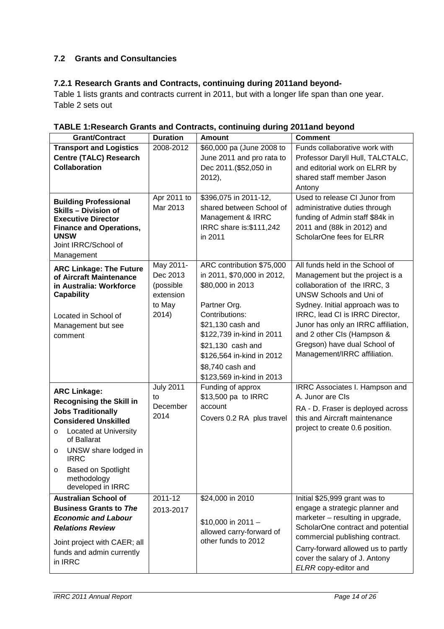# **7.2 Grants and Consultancies**

# **7.2.1 Research Grants and Contracts, continuing during 2011and beyond-**

Table 1 lists grants and contracts current in 2011, but with a longer life span than one year. Table 2 sets out

| <b>Grant/Contract</b>                                                                                                                                                                                                                                                                         | <b>Duration</b>                                                    | <b>Amount</b>                                                                                                                                                                                                                                                      | <b>Comment</b>                                                                                                                                                                                                                                                                                                                                  |
|-----------------------------------------------------------------------------------------------------------------------------------------------------------------------------------------------------------------------------------------------------------------------------------------------|--------------------------------------------------------------------|--------------------------------------------------------------------------------------------------------------------------------------------------------------------------------------------------------------------------------------------------------------------|-------------------------------------------------------------------------------------------------------------------------------------------------------------------------------------------------------------------------------------------------------------------------------------------------------------------------------------------------|
| <b>Transport and Logistics</b><br><b>Centre (TALC) Research</b><br><b>Collaboration</b>                                                                                                                                                                                                       | 2008-2012                                                          | \$60,000 pa (June 2008 to<br>June 2011 and pro rata to<br>Dec 2011.(\$52,050 in<br>2012),                                                                                                                                                                          | Funds collaborative work with<br>Professor Daryll Hull, TALCTALC,<br>and editorial work on ELRR by<br>shared staff member Jason<br>Antony                                                                                                                                                                                                       |
| <b>Building Professional</b><br><b>Skills - Division of</b><br><b>Executive Director</b><br><b>Finance and Operations,</b><br><b>UNSW</b><br>Joint IRRC/School of<br>Management                                                                                                               | Apr 2011 to<br>Mar 2013                                            | \$396,075 in 2011-12,<br>shared between School of<br>Management & IRRC<br>IRRC share is: \$111,242<br>in 2011                                                                                                                                                      | Used to release CI Junor from<br>administrative duties through<br>funding of Admin staff \$84k in<br>2011 and (88k in 2012) and<br>ScholarOne fees for ELRR                                                                                                                                                                                     |
| <b>ARC Linkage: The Future</b><br>of Aircraft Maintenance<br>in Australia: Workforce<br><b>Capability</b><br>Located in School of<br>Management but see<br>comment                                                                                                                            | May 2011-<br>Dec 2013<br>(possible<br>extension<br>to May<br>2014) | ARC contribution \$75,000<br>in 2011, \$70,000 in 2012,<br>\$80,000 in 2013<br>Partner Org.<br>Contributions:<br>\$21,130 cash and<br>\$122,739 in-kind in 2011<br>\$21,130 cash and<br>\$126,564 in-kind in 2012<br>\$8,740 cash and<br>\$123,569 in-kind in 2013 | All funds held in the School of<br>Management but the project is a<br>collaboration of the IRRC, 3<br><b>UNSW Schools and Uni of</b><br>Sydney. Initial approach was to<br>IRRC, lead CI is IRRC Director,<br>Junor has only an IRRC affiliation,<br>and 2 other CIs (Hampson &<br>Gregson) have dual School of<br>Management/IRRC affiliation. |
| <b>ARC Linkage:</b><br><b>Recognising the Skill in</b><br><b>Jobs Traditionally</b><br><b>Considered Unskilled</b><br>Located at University<br>$\circ$<br>of Ballarat<br>UNSW share lodged in<br>$\circ$<br><b>IRRC</b><br><b>Based on Spotlight</b><br>O<br>methodology<br>developed in IRRC | <b>July 2011</b><br>to<br>December<br>2014                         | Funding of approx<br>\$13,500 pa to IRRC<br>account<br>Covers 0.2 RA plus travel                                                                                                                                                                                   | IRRC Associates I. Hampson and<br>A. Junor are CIs<br>RA - D. Fraser is deployed across<br>this and Aircraft maintenance<br>project to create 0.6 position.                                                                                                                                                                                     |
| <b>Australian School of</b><br><b>Business Grants to The</b><br><b>Economic and Labour</b><br><b>Relations Review</b><br>Joint project with CAER; all<br>funds and admin currently<br>in IRRC                                                                                                 | 2011-12<br>2013-2017                                               | \$24,000 in 2010<br>$$10,000$ in 2011 -<br>allowed carry-forward of<br>other funds to 2012                                                                                                                                                                         | Initial \$25,999 grant was to<br>engage a strategic planner and<br>marketer - resulting in upgrade,<br>ScholarOne contract and potential<br>commercial publishing contract.<br>Carry-forward allowed us to partly<br>cover the salary of J. Antony<br>ELRR copy-editor and                                                                      |

**TABLE 1:Research Grants and Contracts, continuing during 2011and beyond**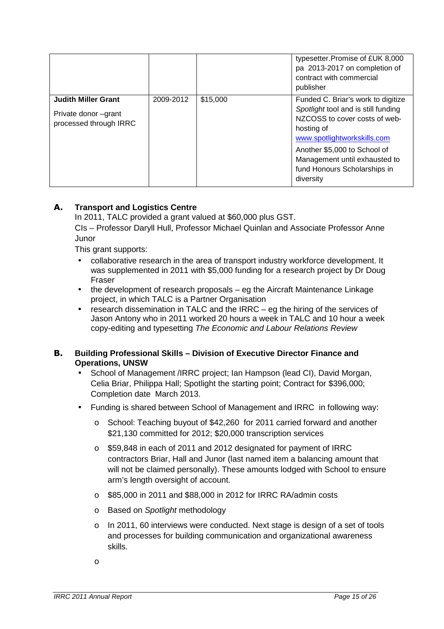|                                                                              |           |          | typesetter. Promise of £UK 8,000<br>pa 2013-2017 on completion of<br>contract with commercial<br>publisher                                                                                                                                                            |
|------------------------------------------------------------------------------|-----------|----------|-----------------------------------------------------------------------------------------------------------------------------------------------------------------------------------------------------------------------------------------------------------------------|
| <b>Judith Miller Grant</b><br>Private donor –grant<br>processed through IRRC | 2009-2012 | \$15,000 | Funded C. Briar's work to digitize<br>Spotlight tool and is still funding<br>NZCOSS to cover costs of web-<br>hosting of<br>www.spotlightworkskills.com<br>Another \$5,000 to School of<br>Management until exhausted to<br>fund Honours Scholarships in<br>diversity |

#### **A. Transport and Logistics Centre**

In 2011, TALC provided a grant valued at \$60,000 plus GST.

CIs – Professor Daryll Hull, Professor Michael Quinlan and Associate Professor Anne Junor

This grant supports:

- collaborative research in the area of transport industry workforce development. It was supplemented in 2011 with \$5,000 funding for a research project by Dr Doug Fraser
- the development of research proposals eg the Aircraft Maintenance Linkage project, in which TALC is a Partner Organisation
- research dissemination in TALC and the IRRC eg the hiring of the services of Jason Antony who in 2011 worked 20 hours a week in TALC and 10 hour a week copy-editing and typesetting The Economic and Labour Relations Review

#### **B. Building Professional Skills – Division of Executive Director Finance and Operations, UNSW**

- School of Management /IRRC project; Ian Hampson (lead CI), David Morgan, Celia Briar, Philippa Hall; Spotlight the starting point; Contract for \$396,000; Completion date March 2013.
- Funding is shared between School of Management and IRRC in following way:
	- o School: Teaching buyout of \$42,260 for 2011 carried forward and another \$21,130 committed for 2012; \$20,000 transcription services
	- o \$59,848 in each of 2011 and 2012 designated for payment of IRRC contractors Briar, Hall and Junor (last named item a balancing amount that will not be claimed personally). These amounts lodged with School to ensure arm's length oversight of account.
	- o \$85,000 in 2011 and \$88,000 in 2012 for IRRC RA/admin costs
	- o Based on Spotlight methodology
	- o In 2011, 60 interviews were conducted. Next stage is design of a set of tools and processes for building communication and organizational awareness skills.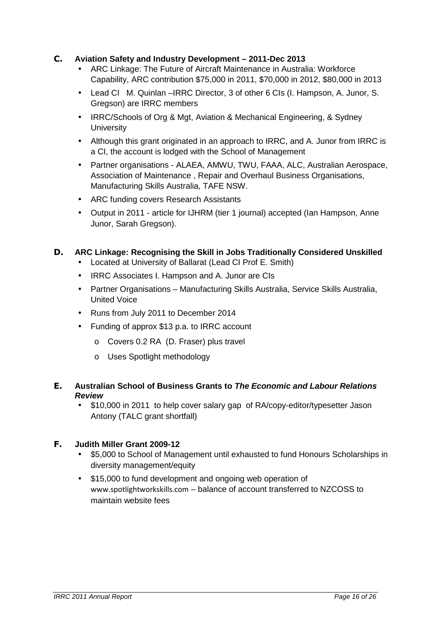#### **C. Aviation Safety and Industry Development – 2011-Dec 2013**

- ARC Linkage: The Future of Aircraft Maintenance in Australia: Workforce Capability, ARC contribution \$75,000 in 2011, \$70,000 in 2012, \$80,000 in 2013
- Lead CI M. Quinlan –IRRC Director, 3 of other 6 CIs (I. Hampson, A. Junor, S. Gregson) are IRRC members
- IRRC/Schools of Org & Mgt, Aviation & Mechanical Engineering, & Sydney **University**
- Although this grant originated in an approach to IRRC, and A. Junor from IRRC is a CI, the account is lodged with the School of Management
- Partner organisations ALAEA, AMWU, TWU, FAAA, ALC, Australian Aerospace, Association of Maintenance , Repair and Overhaul Business Organisations, Manufacturing Skills Australia, TAFE NSW.
- ARC funding covers Research Assistants
- Output in 2011 article for IJHRM (tier 1 journal) accepted (Ian Hampson, Anne Junor, Sarah Gregson).

# **D. ARC Linkage: Recognising the Skill in Jobs Traditionally Considered Unskilled**

- Located at University of Ballarat (Lead CI Prof E. Smith)
- IRRC Associates I. Hampson and A. Junor are CIs
- Partner Organisations Manufacturing Skills Australia, Service Skills Australia, United Voice
- Runs from July 2011 to December 2014
- Funding of approx \$13 p.a. to IRRC account
	- o Covers 0.2 RA (D. Fraser) plus travel
	- o Uses Spotlight methodology

#### **E. Australian School of Business Grants to The Economic and Labour Relations Review**

• \$10,000 in 2011 to help cover salary gap of RA/copy-editor/typesetter Jason Antony (TALC grant shortfall)

#### **F. Judith Miller Grant 2009-12**

- \$5,000 to School of Management until exhausted to fund Honours Scholarships in diversity management/equity
- \$15,000 to fund development and ongoing web operation of www.spotlightworkskills.com – balance of account transferred to NZCOSS to maintain website fees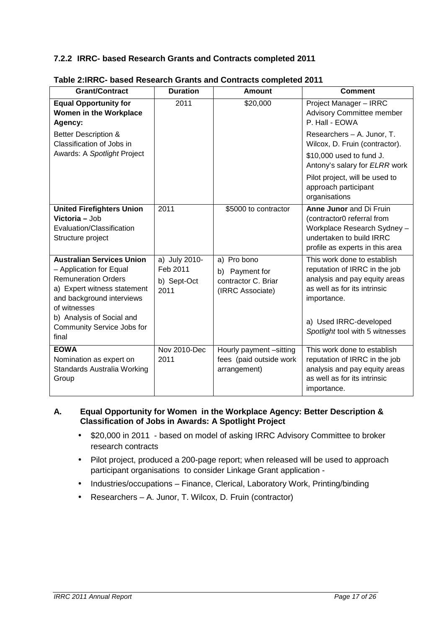# **7.2.2 IRRC- based Research Grants and Contracts completed 2011**

| <b>Grant/Contract</b>                                                                                                                                                                                                                     | <b>Duration</b>                                  | <b>Amount</b>                                                            | <b>Comment</b>                                                                                                                                                                                            |
|-------------------------------------------------------------------------------------------------------------------------------------------------------------------------------------------------------------------------------------------|--------------------------------------------------|--------------------------------------------------------------------------|-----------------------------------------------------------------------------------------------------------------------------------------------------------------------------------------------------------|
| <b>Equal Opportunity for</b><br>Women in the Workplace<br>Agency:                                                                                                                                                                         | 2011                                             | \$20,000                                                                 | Project Manager - IRRC<br>Advisory Committee member<br>P. Hall - EOWA                                                                                                                                     |
| <b>Better Description &amp;</b><br>Classification of Jobs in                                                                                                                                                                              |                                                  |                                                                          | Researchers - A. Junor, T.<br>Wilcox, D. Fruin (contractor).                                                                                                                                              |
| Awards: A Spotlight Project                                                                                                                                                                                                               |                                                  |                                                                          | \$10,000 used to fund J.<br>Antony's salary for ELRR work                                                                                                                                                 |
|                                                                                                                                                                                                                                           |                                                  |                                                                          | Pilot project, will be used to<br>approach participant<br>organisations                                                                                                                                   |
| <b>United Firefighters Union</b><br>Victoria - Job<br>Evaluation/Classification<br>Structure project                                                                                                                                      | 2011                                             | \$5000 to contractor                                                     | Anne Junor and Di Fruin<br>(contractor0 referral from<br>Workplace Research Sydney -<br>undertaken to build IRRC<br>profile as experts in this area                                                       |
| <b>Australian Services Union</b><br>- Application for Equal<br><b>Remuneration Orders</b><br>a) Expert witness statement<br>and background interviews<br>of witnesses<br>b) Analysis of Social and<br>Community Service Jobs for<br>final | a) July 2010-<br>Feb 2011<br>b) Sept-Oct<br>2011 | a) Pro bono<br>b) Payment for<br>contractor C. Briar<br>(IRRC Associate) | This work done to establish<br>reputation of IRRC in the job<br>analysis and pay equity areas<br>as well as for its intrinsic<br>importance.<br>a) Used IRRC-developed<br>Spotlight tool with 5 witnesses |
| <b>EOWA</b><br>Nomination as expert on<br>Standards Australia Working<br>Group                                                                                                                                                            | $\overline{\text{Nov}}$ 2010-Dec<br>2011         | Hourly payment -sitting<br>fees (paid outside work<br>arrangement)       | This work done to establish<br>reputation of IRRC in the job<br>analysis and pay equity areas<br>as well as for its intrinsic<br>importance.                                                              |

#### **Table 2:IRRC- based Research Grants and Contracts completed 2011**

#### **A. Equal Opportunity for Women in the Workplace Agency: Better Description & Classification of Jobs in Awards: A Spotlight Project**

- \$20,000 in 2011 based on model of asking IRRC Advisory Committee to broker research contracts
- Pilot project, produced a 200-page report; when released will be used to approach participant organisations to consider Linkage Grant application -
- Industries/occupations Finance, Clerical, Laboratory Work, Printing/binding
- Researchers A. Junor, T. Wilcox, D. Fruin (contractor)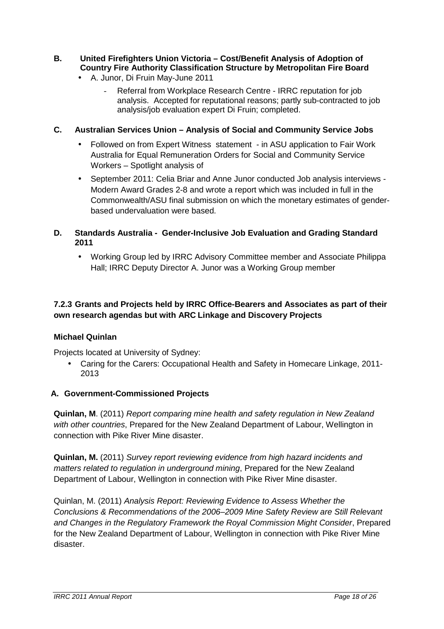#### **B. United Firefighters Union Victoria – Cost/Benefit Analysis of Adoption of Country Fire Authority Classification Structure by Metropolitan Fire Board**

- A. Junor, Di Fruin May-June 2011
	- Referral from Workplace Research Centre IRRC reputation for job analysis. Accepted for reputational reasons; partly sub-contracted to job analysis/job evaluation expert Di Fruin; completed.

#### **C. Australian Services Union – Analysis of Social and Community Service Jobs**

- Followed on from Expert Witness statement in ASU application to Fair Work Australia for Equal Remuneration Orders for Social and Community Service Workers – Spotlight analysis of
- September 2011: Celia Briar and Anne Junor conducted Job analysis interviews Modern Award Grades 2-8 and wrote a report which was included in full in the Commonwealth/ASU final submission on which the monetary estimates of genderbased undervaluation were based.

#### **D. Standards Australia - Gender-Inclusive Job Evaluation and Grading Standard 2011**

• Working Group led by IRRC Advisory Committee member and Associate Philippa Hall; IRRC Deputy Director A. Junor was a Working Group member

# **7.2.3 Grants and Projects held by IRRC Office-Bearers and Associates as part of their own research agendas but with ARC Linkage and Discovery Projects**

#### **Michael Quinlan**

Projects located at University of Sydney:

• Caring for the Carers: Occupational Health and Safety in Homecare Linkage, 2011- 2013

#### **A. Government-Commissioned Projects**

**Quinlan, M**. (2011) Report comparing mine health and safety regulation in New Zealand with other countries, Prepared for the New Zealand Department of Labour, Wellington in connection with Pike River Mine disaster.

**Quinlan, M.** (2011) Survey report reviewing evidence from high hazard incidents and matters related to regulation in underground mining, Prepared for the New Zealand Department of Labour, Wellington in connection with Pike River Mine disaster.

Quinlan, M. (2011) Analysis Report: Reviewing Evidence to Assess Whether the Conclusions & Recommendations of the 2006–2009 Mine Safety Review are Still Relevant and Changes in the Regulatory Framework the Royal Commission Might Consider, Prepared for the New Zealand Department of Labour, Wellington in connection with Pike River Mine disaster.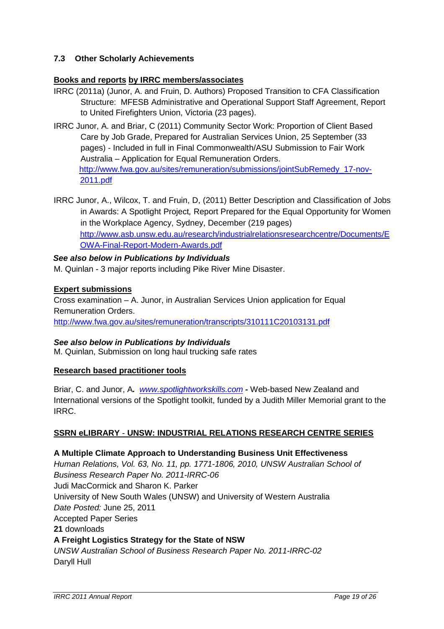# **7.3 Other Scholarly Achievements**

#### **Books and reports by IRRC members/associates**

- IRRC (2011a) (Junor, A. and Fruin, D. Authors) Proposed Transition to CFA Classification Structure: MFESB Administrative and Operational Support Staff Agreement, Report to United Firefighters Union, Victoria (23 pages).
- IRRC Junor, A. and Briar, C (2011) Community Sector Work: Proportion of Client Based Care by Job Grade, Prepared for Australian Services Union, 25 September (33 pages) - Included in full in Final Commonwealth/ASU Submission to Fair Work Australia – Application for Equal Remuneration Orders. http://www.fwa.gov.au/sites/remuneration/submissions/jointSubRemedy\_17-nov-2011.pdf
- IRRC Junor, A., Wilcox, T. and Fruin, D, (2011) Better Description and Classification of Jobs in Awards: A Spotlight Project, Report Prepared for the Equal Opportunity for Women in the Workplace Agency, Sydney, December (219 pages) http://www.asb.unsw.edu.au/research/industrialrelationsresearchcentre/Documents/E OWA-Final-Report-Modern-Awards.pdf

#### **See also below in Publications by Individuals**

M. Quinlan - 3 major reports including Pike River Mine Disaster.

#### **Expert submissions**

Cross examination – A. Junor, in Australian Services Union application for Equal Remuneration Orders. http://www.fwa.gov.au/sites/remuneration/transcripts/310111C20103131.pdf

#### **See also below in Publications by Individuals**

M. Quinlan, Submission on long haul trucking safe rates

#### **Research based practitioner tools**

Briar, C. and Junor, A**.** www.spotlightworkskills.com **-** Web-based New Zealand and International versions of the Spotlight toolkit, funded by a Judith Miller Memorial grant to the IRRC.

#### **SSRN eLIBRARY** - **UNSW: INDUSTRIAL RELATIONS RESEARCH CENTRE SERIES**

#### **A Multiple Climate Approach to Understanding Business Unit Effectiveness**

Human Relations, Vol. 63, No. 11, pp. 1771-1806, 2010, UNSW Australian School of Business Research Paper No. 2011-IRRC-06 Judi MacCormick and Sharon K. Parker University of New South Wales (UNSW) and University of Western Australia Date Posted: June 25, 2011 Accepted Paper Series **21** downloads **A Freight Logistics Strategy for the State of NSW** UNSW Australian School of Business Research Paper No. 2011-IRRC-02

Daryll Hull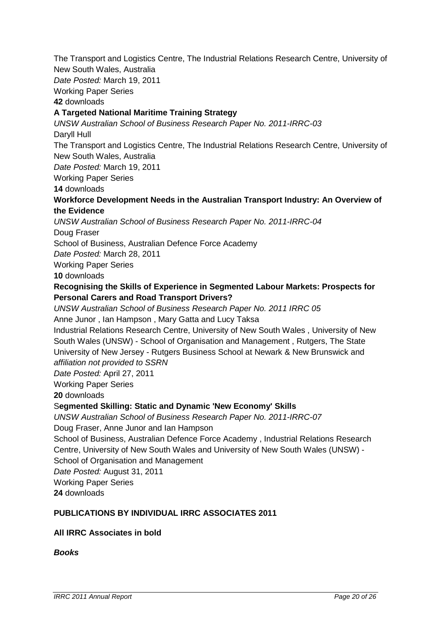The Transport and Logistics Centre, The Industrial Relations Research Centre, University of New South Wales, Australia Date Posted: March 19, 2011 Working Paper Series **42** downloads **A Targeted National Maritime Training Strategy** UNSW Australian School of Business Research Paper No. 2011-IRRC-03 Daryll Hull The Transport and Logistics Centre, The Industrial Relations Research Centre, University of New South Wales, Australia Date Posted: March 19, 2011 Working Paper Series **14** downloads **Workforce Development Needs in the Australian Transport Industry: An Overview of the Evidence** UNSW Australian School of Business Research Paper No. 2011-IRRC-04 Doug Fraser School of Business, Australian Defence Force Academy Date Posted: March 28, 2011 Working Paper Series **10** downloads **Recognising the Skills of Experience in Segmented Labour Markets: Prospects for Personal Carers and Road Transport Drivers?** UNSW Australian School of Business Research Paper No. 2011 IRRC 05 Anne Junor , Ian Hampson , Mary Gatta and Lucy Taksa Industrial Relations Research Centre, University of New South Wales , University of New South Wales (UNSW) - School of Organisation and Management , Rutgers, The State University of New Jersey - Rutgers Business School at Newark & New Brunswick and affiliation not provided to SSRN Date Posted: April 27, 2011 Working Paper Series **20** downloads S**egmented Skilling: Static and Dynamic 'New Economy' Skills** UNSW Australian School of Business Research Paper No. 2011-IRRC-07 Doug Fraser, Anne Junor and Ian Hampson School of Business, Australian Defence Force Academy , Industrial Relations Research Centre, University of New South Wales and University of New South Wales (UNSW) - School of Organisation and Management Date Posted: August 31, 2011 Working Paper Series **24** downloads

# **PUBLICATIONS BY INDIVIDUAL IRRC ASSOCIATES 2011**

#### **All IRRC Associates in bold**

**Books**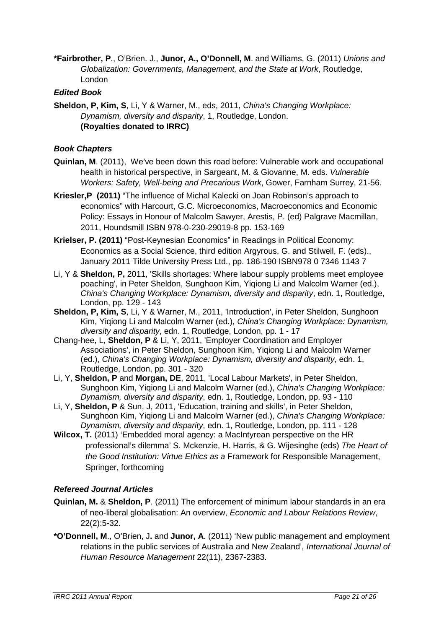**\*Fairbrother, P**., O'Brien. J., **Junor, A., O'Donnell, M**. and Williams, G. (2011) Unions and Globalization: Governments, Management, and the State at Work, Routledge, London

### **Edited Book**

**Sheldon, P, Kim, S**, Li, Y & Warner, M., eds, 2011, China's Changing Workplace: Dynamism, diversity and disparity, 1, Routledge, London. **(Royalties donated to IRRC)**

### **Book Chapters**

- **Quinlan, M**. (2011), We've been down this road before: Vulnerable work and occupational health in historical perspective, in Sargeant, M. & Giovanne, M. eds. Vulnerable Workers: Safety, Well-being and Precarious Work, Gower, Farnham Surrey, 21-56.
- **Kriesler,P (2011)** "The influence of Michal Kalecki on Joan Robinson's approach to economics" with Harcourt, G.C. Microeconomics, Macroeconomics and Economic Policy: Essays in Honour of Malcolm Sawyer, Arestis, P. (ed) Palgrave Macmillan, 2011, Houndsmill ISBN 978-0-230-29019-8 pp. 153-169
- **Krielser, P. (2011)** "Post-Keynesian Economics" in Readings in Political Economy: Economics as a Social Science, third edition Argyrous, G. and Stilwell, F. (eds)., January 2011 Tilde University Press Ltd., pp. 186-190 ISBN978 0 7346 1143 7
- Li, Y & **Sheldon, P,** 2011, 'Skills shortages: Where labour supply problems meet employee poaching', in Peter Sheldon, Sunghoon Kim, Yiqiong Li and Malcolm Warner (ed.), China's Changing Workplace: Dynamism, diversity and disparity, edn. 1, Routledge, London, pp. 129 - 143
- **Sheldon, P, Kim, S**, Li, Y & Warner, M., 2011, 'Introduction', in Peter Sheldon, Sunghoon Kim, Yiqiong Li and Malcolm Warner (ed.), China's Changing Workplace: Dynamism, diversity and disparity, edn. 1, Routledge, London, pp. 1 - 17
- Chang-hee, L, **Sheldon, P** & Li, Y, 2011, 'Employer Coordination and Employer Associations', in Peter Sheldon, Sunghoon Kim, Yiqiong Li and Malcolm Warner (ed.), China's Changing Workplace: Dynamism, diversity and disparity, edn. 1, Routledge, London, pp. 301 - 320
- Li, Y, **Sheldon, P** and **Morgan, DE**, 2011, 'Local Labour Markets', in Peter Sheldon, Sunghoon Kim, Yiqiong Li and Malcolm Warner (ed.), China's Changing Workplace: Dynamism, diversity and disparity, edn. 1, Routledge, London, pp. 93 - 110
- Li, Y, **Sheldon, P** & Sun, J, 2011, 'Education, training and skills', in Peter Sheldon, Sunghoon Kim, Yiqiong Li and Malcolm Warner (ed.), China's Changing Workplace: Dynamism, diversity and disparity, edn. 1, Routledge, London, pp. 111 - 128
- **Wilcox, T.** (2011) 'Embedded moral agency: a MacIntyrean perspective on the HR professional's dilemma' S. Mckenzie, H. Harris, & G. Wijesinghe (eds) The Heart of the Good Institution: Virtue Ethics as a Framework for Responsible Management, Springer, forthcoming

#### **Refereed Journal Articles**

- **Quinlan, M.** & **Sheldon, P**. (2011) The enforcement of minimum labour standards in an era of neo-liberal globalisation: An overview, Economic and Labour Relations Review, 22(2):5-32.
- **\*O'Donnell, M**., O'Brien, J**.** and **Junor, A**. (2011) 'New public management and employment relations in the public services of Australia and New Zealand', International Journal of Human Resource Management 22(11), 2367-2383.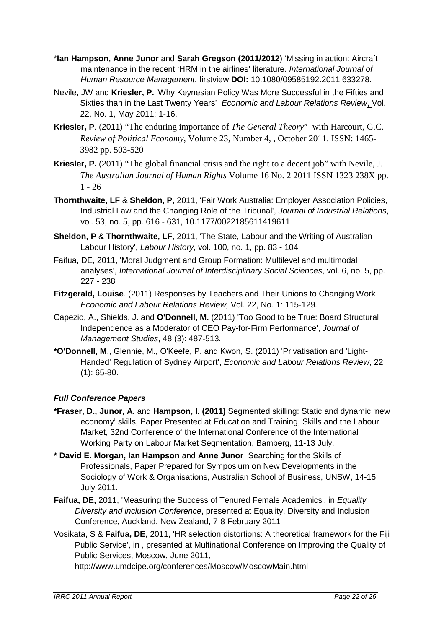- \***Ian Hampson, Anne Junor** and **Sarah Gregson (2011/2012**) 'Missing in action: Aircraft maintenance in the recent 'HRM in the airlines' literature. International Journal of Human Resource Management, firstview **DOI:** 10.1080/09585192.2011.633278.
- Nevile, JW and **Kriesler, P.** 'Why Keynesian Policy Was More Successful in the Fifties and Sixties than in the Last Twenty Years' Economic and Labour Relations Review, Vol. 22, No. 1, May 2011: 1-16.
- **Kriesler, P**. (2011) "The enduring importance of *The General Theory*" with Harcourt, G.C. *Review of Political Economy*, Volume 23, Number 4, , October 2011. ISSN: 1465- 3982 pp. 503-520
- **Kriesler, P.** (2011) "The global financial crisis and the right to a decent job" with Nevile, J. *The Australian Journal of Human Rights* Volume 16 No. 2 2011 ISSN 1323 238X pp.  $1 - 26$
- **Thornthwaite, LF** & **Sheldon, P**, 2011, 'Fair Work Australia: Employer Association Policies, Industrial Law and the Changing Role of the Tribunal', Journal of Industrial Relations, vol. 53, no. 5, pp. 616 - 631, 10.1177/0022185611419611
- **Sheldon, P** & **Thornthwaite, LF**, 2011, 'The State, Labour and the Writing of Australian Labour History', Labour History, vol. 100, no. 1, pp. 83 - 104
- Faifua, DE, 2011, 'Moral Judgment and Group Formation: Multilevel and multimodal analyses', International Journal of Interdisciplinary Social Sciences, vol. 6, no. 5, pp. 227 - 238
- **Fitzgerald, Louise**. (2011) Responses by Teachers and Their Unions to Changing Work Economic and Labour Relations Review, Vol. 22, No. 1: 115-129.
- Capezio, A., Shields, J. and **O'Donnell, M.** (2011) 'Too Good to be True: Board Structural Independence as a Moderator of CEO Pay-for-Firm Performance', Journal of Management Studies, 48 (3): 487-513.
- **\*O'Donnell, M**., Glennie, M., O'Keefe, P. and Kwon, S. (2011) 'Privatisation and 'Light-Handed' Regulation of Sydney Airport', Economic and Labour Relations Review, 22 (1): 65-80.

# **Full Conference Papers**

- **\*Fraser, D., Junor, A**. and **Hampson, I. (2011)** Segmented skilling: Static and dynamic 'new economy' skills, Paper Presented at Education and Training, Skills and the Labour Market, 32nd Conference of the International Conference of the International Working Party on Labour Market Segmentation, Bamberg, 11-13 July.
- **\* David E. Morgan, Ian Hampson** and **Anne Junor** Searching for the Skills of Professionals, Paper Prepared for Symposium on New Developments in the Sociology of Work & Organisations, Australian School of Business, UNSW, 14-15 July 2011.
- **Faifua, DE,** 2011, 'Measuring the Success of Tenured Female Academics', in Equality Diversity and inclusion Conference, presented at Equality, Diversity and Inclusion Conference, Auckland, New Zealand, 7-8 February 2011
- Vosikata, S & **Faifua, DE**, 2011, 'HR selection distortions: A theoretical framework for the Fiji Public Service', in , presented at Multinational Conference on Improving the Quality of Public Services, Moscow, June 2011,

http://www.umdcipe.org/conferences/Moscow/MoscowMain.html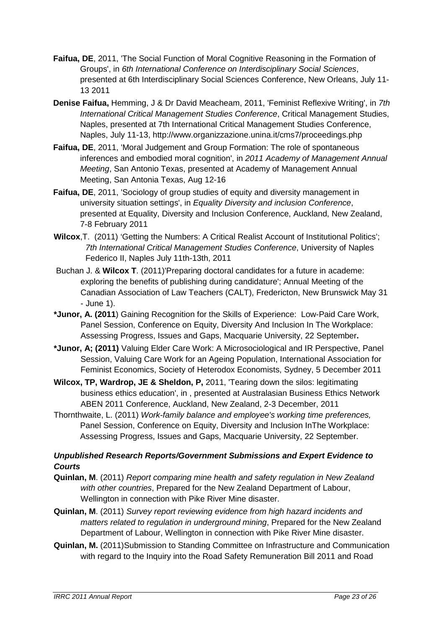- **Faifua, DE**, 2011, 'The Social Function of Moral Cognitive Reasoning in the Formation of Groups', in 6th International Conference on Interdisciplinary Social Sciences, presented at 6th Interdisciplinary Social Sciences Conference, New Orleans, July 11- 13 2011
- **Denise Faifua,** Hemming, J & Dr David Meacheam, 2011, 'Feminist Reflexive Writing', in 7th International Critical Management Studies Conference, Critical Management Studies, Naples, presented at 7th International Critical Management Studies Conference, Naples, July 11-13, http://www.organizzazione.unina.it/cms7/proceedings.php
- **Faifua, DE**, 2011, 'Moral Judgement and Group Formation: The role of spontaneous inferences and embodied moral cognition', in 2011 Academy of Management Annual Meeting, San Antonio Texas, presented at Academy of Management Annual Meeting, San Antonia Texas, Aug 12-16
- **Faifua, DE**, 2011, 'Sociology of group studies of equity and diversity management in university situation settings', in Equality Diversity and inclusion Conference, presented at Equality, Diversity and Inclusion Conference, Auckland, New Zealand, 7-8 February 2011
- **Wilcox**,T. (2011) 'Getting the Numbers: A Critical Realist Account of Institutional Politics'; 7th International Critical Management Studies Conference, University of Naples Federico II, Naples July 11th-13th, 2011
- Buchan J. & **Wilcox T**. (2011)'Preparing doctoral candidates for a future in academe: exploring the benefits of publishing during candidature'; Annual Meeting of the Canadian Association of Law Teachers (CALT), Fredericton, New Brunswick May 31 - June 1).
- **\*Junor, A. (2011**) Gaining Recognition for the Skills of Experience: Low-Paid Care Work, Panel Session, Conference on Equity, Diversity And Inclusion In The Workplace: Assessing Progress, Issues and Gaps, Macquarie University, 22 September**.**
- **\*Junor, A; (2011)** Valuing Elder Care Work: A Microsociological and IR Perspective, Panel Session, Valuing Care Work for an Ageing Population, International Association for Feminist Economics, Society of Heterodox Economists, Sydney, 5 December 2011
- **Wilcox, TP, Wardrop, JE & Sheldon, P,** 2011, 'Tearing down the silos: legitimating business ethics education', in , presented at Australasian Business Ethics Network ABEN 2011 Conference, Auckland, New Zealand, 2-3 December, 2011
- Thornthwaite, L. (2011) Work-family balance and employee's working time preferences, Panel Session, Conference on Equity, Diversity and Inclusion InThe Workplace: Assessing Progress, Issues and Gaps, Macquarie University, 22 September.

# **Unpublished Research Reports/Government Submissions and Expert Evidence to Courts**

- **Quinlan, M**. (2011) Report comparing mine health and safety regulation in New Zealand with other countries. Prepared for the New Zealand Department of Labour, Wellington in connection with Pike River Mine disaster.
- **Quinlan, M**. (2011) Survey report reviewing evidence from high hazard incidents and matters related to regulation in underground mining. Prepared for the New Zealand Department of Labour, Wellington in connection with Pike River Mine disaster.
- **Quinlan, M.** (2011)Submission to Standing Committee on Infrastructure and Communication with regard to the Inquiry into the Road Safety Remuneration Bill 2011 and Road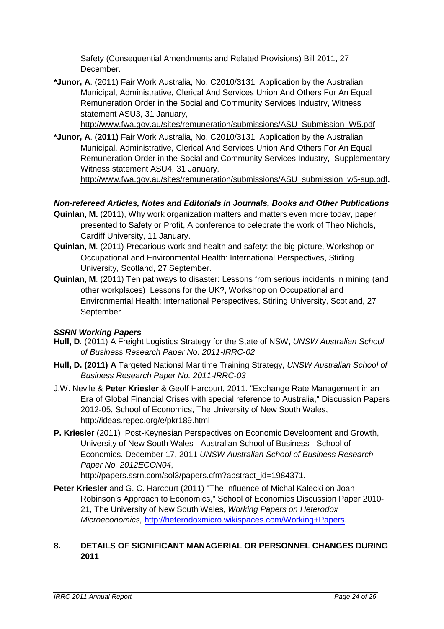Safety (Consequential Amendments and Related Provisions) Bill 2011, 27 December.

**\*Junor, A**. (2011) Fair Work Australia, No. C2010/3131 Application by the Australian Municipal, Administrative, Clerical And Services Union And Others For An Equal Remuneration Order in the Social and Community Services Industry, Witness statement ASU3, 31 January,

http://www.fwa.gov.au/sites/remuneration/submissions/ASU\_Submission\_W5.pdf

**\*Junor, A**. (**2011)** Fair Work Australia, No. C2010/3131 Application by the Australian Municipal, Administrative, Clerical And Services Union And Others For An Equal Remuneration Order in the Social and Community Services Industry**,** Supplementary Witness statement ASU4, 31 January,

http://www.fwa.gov.au/sites/remuneration/submissions/ASU\_submission\_w5-sup.pdf**.** 

# **Non-refereed Articles, Notes and Editorials in Journals, Books and Other Publications**

- **Quinlan, M.** (2011), Why work organization matters and matters even more today, paper presented to Safety or Profit, A conference to celebrate the work of Theo Nichols, Cardiff University, 11 January.
- **Quinlan, M**. (2011) Precarious work and health and safety: the big picture, Workshop on Occupational and Environmental Health: International Perspectives, Stirling University, Scotland, 27 September.
- **Quinlan, M**. (2011) Ten pathways to disaster: Lessons from serious incidents in mining (and other workplaces) Lessons for the UK?, Workshop on Occupational and Environmental Health: International Perspectives, Stirling University, Scotland, 27 September

#### **SSRN Working Papers**

- **Hull, D**. (2011) A Freight Logistics Strategy for the State of NSW, UNSW Australian School of Business Research Paper No. 2011-IRRC-02
- **Hull, D. (2011) A** Targeted National Maritime Training Strategy, UNSW Australian School of Business Research Paper No. 2011-IRRC-03
- J.W. Nevile & **Peter Kriesler** & Geoff Harcourt, 2011. "Exchange Rate Management in an Era of Global Financial Crises with special reference to Australia," Discussion Papers 2012-05, School of Economics, The University of New South Wales, http://ideas.repec.org/e/pkr189.html
- **P. Kriesler** (2011) Post-Keynesian Perspectives on Economic Development and Growth, University of New South Wales - Australian School of Business - School of Economics. December 17, 2011 UNSW Australian School of Business Research Paper No. 2012ECON04,

http://papers.ssrn.com/sol3/papers.cfm?abstract\_id=1984371.

**Peter Kriesler** and G. C. Harcourt (2011) "The Influence of Michal Kalecki on Joan Robinson's Approach to Economics," School of Economics Discussion Paper 2010- 21, The University of New South Wales, Working Papers on Heterodox Microeconomics, http://heterodoxmicro.wikispaces.com/Working+Papers.

#### **8. DETAILS OF SIGNIFICANT MANAGERIAL OR PERSONNEL CHANGES DURING 2011**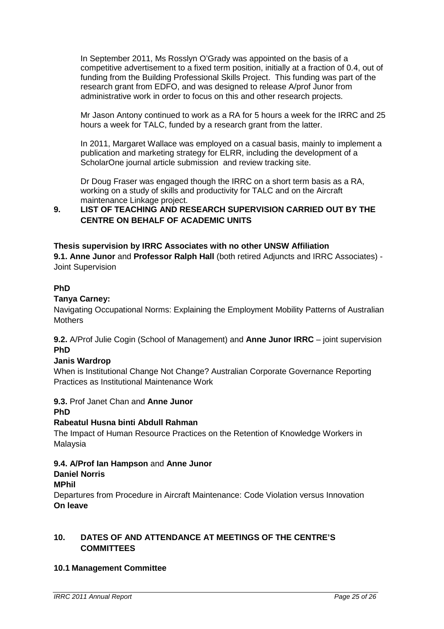In September 2011, Ms Rosslyn O'Grady was appointed on the basis of a competitive advertisement to a fixed term position, initially at a fraction of 0.4, out of funding from the Building Professional Skills Project. This funding was part of the research grant from EDFO, and was designed to release A/prof Junor from administrative work in order to focus on this and other research projects.

Mr Jason Antony continued to work as a RA for 5 hours a week for the IRRC and 25 hours a week for TALC, funded by a research grant from the latter.

In 2011, Margaret Wallace was employed on a casual basis, mainly to implement a publication and marketing strategy for ELRR, including the development of a ScholarOne journal article submission and review tracking site.

Dr Doug Fraser was engaged though the IRRC on a short term basis as a RA, working on a study of skills and productivity for TALC and on the Aircraft maintenance Linkage project.

#### **9. LIST OF TEACHING AND RESEARCH SUPERVISION CARRIED OUT BY THE CENTRE ON BEHALF OF ACADEMIC UNITS**

#### **Thesis supervision by IRRC Associates with no other UNSW Affiliation**

**9.1. Anne Junor** and **Professor Ralph Hall** (both retired Adjuncts and IRRC Associates) - Joint Supervision

#### **PhD**

#### **Tanya Carney:**

Navigating Occupational Norms: Explaining the Employment Mobility Patterns of Australian **Mothers** 

**9.2.** A/Prof Julie Cogin (School of Management) and **Anne Junor IRRC** – joint supervision **PhD** 

#### **Janis Wardrop**

When is Institutional Change Not Change? Australian Corporate Governance Reporting Practices as Institutional Maintenance Work

#### **9.3.** Prof Janet Chan and **Anne Junor**

# **PhD**

# **Rabeatul Husna binti Abdull Rahman**

The Impact of Human Resource Practices on the Retention of Knowledge Workers in Malaysia

# **9.4. A/Prof Ian Hampson** and **Anne Junor**

# **Daniel Norris**

# **MPhil**

Departures from Procedure in Aircraft Maintenance: Code Violation versus Innovation **On leave** 

# **10. DATES OF AND ATTENDANCE AT MEETINGS OF THE CENTRE'S COMMITTEES**

# **10.1 Management Committee**